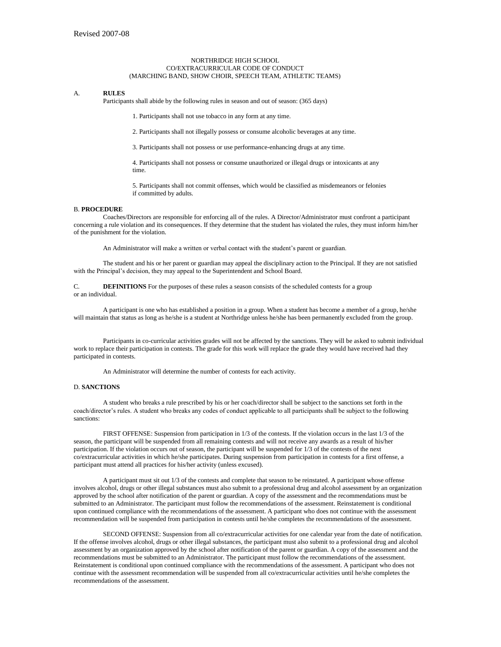#### NORTHRIDGE HIGH SCHOOL CO/EXTRACURRICULAR CODE OF CONDUCT (MARCHING BAND, SHOW CHOIR, SPEECH TEAM, ATHLETIC TEAMS)

### A. **RULES**

Participants shall abide by the following rules in season and out of season: (365 days)

1. Participants shall not use tobacco in any form at any time.

2. Participants shall not illegally possess or consume alcoholic beverages at any time.

3. Participants shall not possess or use performance-enhancing drugs at any time.

4. Participants shall not possess or consume unauthorized or illegal drugs or intoxicants at any time.

5. Participants shall not commit offenses, which would be classified as misdemeanors or felonies if committed by adults.

### B. **PROCEDURE**

Coaches/Directors are responsible for enforcing all of the rules. A Director/Administrator must confront a participant concerning a rule violation and its consequences. If they determine that the student has violated the rules, they must inform him/her of the punishment for the violation.

An Administrator will make a written or verbal contact with the student's parent or guardian.

The student and his or her parent or guardian may appeal the disciplinary action to the Principal. If they are not satisfied with the Principal's decision, they may appeal to the Superintendent and School Board.

C. **DEFINITIONS** For the purposes of these rules a season consists of the scheduled contests for a group or an individual.

A participant is one who has established a position in a group. When a student has become a member of a group, he/she will maintain that status as long as he/she is a student at Northridge unless he/she has been permanently excluded from the group.

Participants in co-curricular activities grades will not be affected by the sanctions. They will be asked to submit individual work to replace their participation in contests. The grade for this work will replace the grade they would have received had they participated in contests.

An Administrator will determine the number of contests for each activity.

## D. **SANCTIONS**

A student who breaks a rule prescribed by his or her coach/director shall be subject to the sanctions set forth in the coach/director's rules. A student who breaks any codes of conduct applicable to all participants shall be subject to the following sanctions:

FIRST OFFENSE: Suspension from participation in 1/3 of the contests. If the violation occurs in the last 1/3 of the season, the participant will be suspended from all remaining contests and will not receive any awards as a result of his/her participation. If the violation occurs out of season, the participant will be suspended for 1/3 of the contests of the next co/extracurricular activities in which he/she participates. During suspension from participation in contests for a first offense, a participant must attend all practices for his/her activity (unless excused).

A participant must sit out 1/3 of the contests and complete that season to be reinstated. A participant whose offense involves alcohol, drugs or other illegal substances must also submit to a professional drug and alcohol assessment by an organization approved by the school after notification of the parent or guardian. A copy of the assessment and the recommendations must be submitted to an Administrator. The participant must follow the recommendations of the assessment. Reinstatement is conditional upon continued compliance with the recommendations of the assessment. A participant who does not continue with the assessment recommendation will be suspended from participation in contests until he/she completes the recommendations of the assessment.

SECOND OFFENSE: Suspension from all co/extracurricular activities for one calendar year from the date of notification. If the offense involves alcohol, drugs or other illegal substances, the participant must also submit to a professional drug and alcohol assessment by an organization approved by the school after notification of the parent or guardian. A copy of the assessment and the recommendations must be submitted to an Administrator. The participant must follow the recommendations of the assessment. Reinstatement is conditional upon continued compliance with the recommendations of the assessment. A participant who does not continue with the assessment recommendation will be suspended from all co/extracurricular activities until he/she completes the recommendations of the assessment.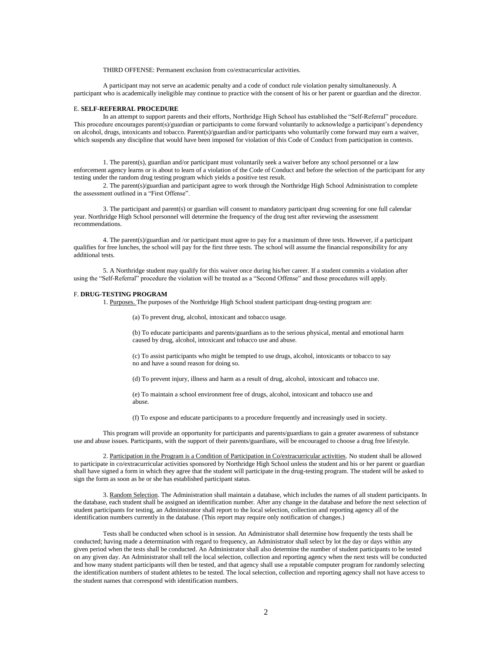THIRD OFFENSE: Permanent exclusion from co/extracurricular activities.

A participant may not serve an academic penalty and a code of conduct rule violation penalty simultaneously. A participant who is academically ineligible may continue to practice with the consent of his or her parent or guardian and the director.

#### E. **SELF-REFERRAL PROCEDURE**

In an attempt to support parents and their efforts, Northridge High School has established the "Self-Referral" procedure. This procedure encourages parent(s)/guardian or participants to come forward voluntarily to acknowledge a participant's dependency on alcohol, drugs, intoxicants and tobacco. Parent(s)/guardian and/or participants who voluntarily come forward may earn a waiver, which suspends any discipline that would have been imposed for violation of this Code of Conduct from participation in contests.

1. The parent(s), guardian and/or participant must voluntarily seek a waiver before any school personnel or a law enforcement agency learns or is about to learn of a violation of the Code of Conduct and before the selection of the participant for any testing under the random drug testing program which yields a positive test result.

2. The parent(s)/guardian and participant agree to work through the Northridge High School Administration to complete the assessment outlined in a "First Offense".

3. The participant and parent(s) or guardian will consent to mandatory participant drug screening for one full calendar year. Northridge High School personnel will determine the frequency of the drug test after reviewing the assessment recommendations.

4. The parent(s)/guardian and /or participant must agree to pay for a maximum of three tests. However, if a participant qualifies for free lunches, the school will pay for the first three tests. The school will assume the financial responsibility for any additional tests.

5. A Northridge student may qualify for this waiver once during his/her career. If a student commits a violation after using the "Self-Referral" procedure the violation will be treated as a "Second Offense" and those procedures will apply.

# F. **DRUG-TESTING PROGRAM**

1. Purposes. The purposes of the Northridge High School student participant drug-testing program are:

(a) To prevent drug, alcohol, intoxicant and tobacco usage.

(b) To educate participants and parents/guardians as to the serious physical, mental and emotional harm caused by drug, alcohol, intoxicant and tobacco use and abuse.

(c) To assist participants who might be tempted to use drugs, alcohol, intoxicants or tobacco to say no and have a sound reason for doing so.

(d) To prevent injury, illness and harm as a result of drug, alcohol, intoxicant and tobacco use.

(e) To maintain a school environment free of drugs, alcohol, intoxicant and tobacco use and abuse.

(f) To expose and educate participants to a procedure frequently and increasingly used in society.

This program will provide an opportunity for participants and parents/guardians to gain a greater awareness of substance use and abuse issues. Participants, with the support of their parents/guardians, will be encouraged to choose a drug free lifestyle.

2. Participation in the Program is a Condition of Participation in Co/extracurricular activities. No student shall be allowed to participate in co/extracurricular activities sponsored by Northridge High School unless the student and his or her parent or guardian shall have signed a form in which they agree that the student will participate in the drug-testing program. The student will be asked to sign the form as soon as he or she has established participant status.

3. Random Selection. The Administration shall maintain a database, which includes the names of all student participants. In the database, each student shall be assigned an identification number. After any change in the database and before the next selection of student participants for testing, an Administrator shall report to the local selection, collection and reporting agency all of the identification numbers currently in the database. (This report may require only notification of changes.)

Tests shall be conducted when school is in session. An Administrator shall determine how frequently the tests shall be conducted; having made a determination with regard to frequency, an Administrator shall select by lot the day or days within any given period when the tests shall be conducted. An Administrator shall also determine the number of student participants to be tested on any given day. An Administrator shall tell the local selection, collection and reporting agency when the next tests will be conducted and how many student participants will then be tested, and that agency shall use a reputable computer program for randomly selecting the identification numbers of student athletes to be tested. The local selection, collection and reporting agency shall not have access to the student names that correspond with identification numbers.